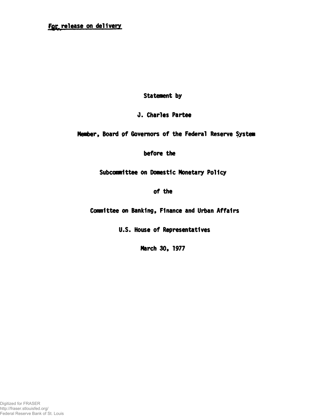## For release on delivery

Statement by

0. Charles Partee

Member, Board of Governors of the Federal Reserve System

before the

Subcommittee on Domestic Monetary Policy

of the

Committee on Banking, Finance and Urban Affairs

U.S. House of Representatives

March 30, 1977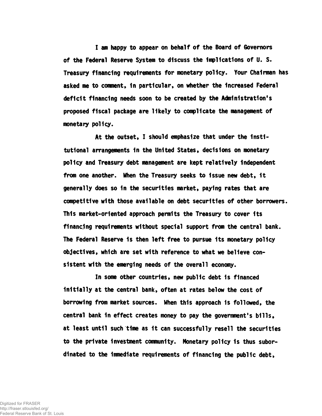I am happy to appear on behalf of the Board of Governors of the Federal Reserve System to discuss the Implications of U. S. Treasury financing requirements for monetary policy. Your Chairman has asked me to comment, 1n particular, on whether the Increased Federal deficit financing needs soon to be created by the Administration's proposed fiscal package are likely to complicate the management of monetary policy.

At the outset, I should emphasize that under the institutional arrangements 1n the United States, decisions on monetary policy and Treasury debt management are kept relatively independent from one another. When the Treasury seeks to issue new debt, it generally does so in the securities market, paying rates that are competitive with those available on debt securities of other borrowers. This market-oriented approach permits the Treasury to cover its financing requirements without special support from the central bank. The Federal Reserve Is then left free to pursue its monetary policy objectives, which are set with reference to what we believe consistent with the emerging needs of the overall economy.

In some other countries, new public debt is financed initially at the central bank, often at rates below the cost of borrowing from market sources. When this approach 1s followed, the central bank in effect creates money to pay the government's bills, at least until such time as 1t can successfully resell the securities to the private investment community. Monetary policy is thus subordinated to the immediate requirements of financing the public debt,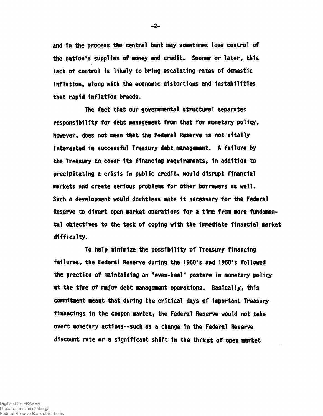and in the process the central bank may sometimes lose control of the nation's supplies of money and credit. Sooner or later, this lack of control 1s likely to bring escalating rates of domestic Inflation, along with the economic distortions and Instabilities that rapid Inflation breeds.

The fact that our governmental structural separates responsibility for debt management from that for monetary policy, however, does not mean that the Federal Reserve is not vitally interested In successful Treasury debt management. A failure by the Treasury to cover Its financing requirements, in addition to precipitating a crisis in public credit, would disrupt financial markets and create serious problems for other borrowers as well. Such a development would doubtless make it necessary for the Federal Reserve to divert open market operations for a time from more fundamental objectives to the task of coping with the Immediate financial market difficulty.

To help minimize the possibility of Treasury financing failures, the Federal Reserve during the 1950's and 1960's followed the practice of maintaining an "even-keel" posture in monetary policy at the time of major debt management operations. Basically, this commitment meant that during the critical days of Important Treasury financings 1n the coupon market, the Federal Reserve would not take overt monetary actions— such as a change in the Federal Reserve discount rate or a significant shift 1n the thrust of open market

-2-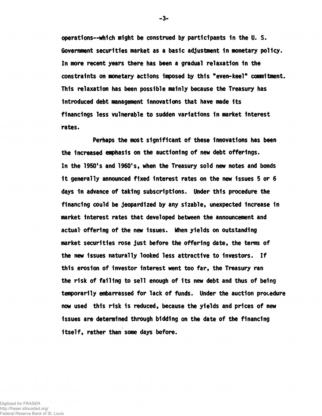operations— which might be construed by participants In the U. S. Government securities market as a basic adjustment in monetary policy. In more recent years there has been a gradual relaxation 1n the constraints on monetary actions Imposed by this "even-keel" commitment. This relaxation has been possible mainly because the Treasury has Introduced debt management Innovations that have made its financings less vulnerable to sudden variations In market Interest rates.

Perhaps the most significant of these Innovations has been the Increased emphasis on the auctioning of new debt offerings. In the 1950's and 1960's, when the Treasury sold new notes and bonds 1t generally announced fixed Interest rates on the new Issues 5 or 6 days 1n advance of taking subscriptions. Under this procedure the financing could be jeopardized by any sizable, unexpected Increase 1n market Interest rates that developed between the announcement and actual offering of the new issues. When yields on outstanding market securities rose just before the offering date, the terms of the new Issues naturally looked less attractive to Investors. If this erosion of Investor Interest went too far, the Treasury ran the risk of falling to sell enough of Its new debt and thus of being temporarily embarrassed for lack of funds. Under the auction procedure now used this risk 1s reduced, because the yields and prices of new issues are determined through bidding on the date of the financing itself, rather than some days before.

-3-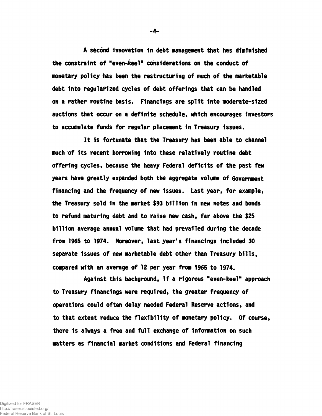A second Innovation in debt management that has diminished the constraint of "even-keel" considerations on the conduct of monetary policy has been the restructuring of much of the marketable debt Into regularized cycles of debt offerings that can be handled on a rather routine basis. Financings are split Into moderate-sized auctions that occur on a definite schedule, which encourages investors to accumulate funds for regular placement in Treasury issues.

It Is fortunate that the Treasury has been able to channel much of Its recent borrowing Into these relatively routine debt offering cycles, because the heavy Federal deficits of the past few years have greatly expanded both the aggregate volume of Government financing and the frequency of new Issues. Last year, for example, the Treasury sold 1n the market \$93 billion 1n new notes and bonds to refund maturing debt and to raise new cash, far above the \$25 billion average annual volume that had prevailed during the decade from 1965 to 1974. Moreover, last year's financings Included 30 separate Issues of new marketable debt other than Treasury bills, compared with an average of 12 per year from 1965 to 1974.

Against this background, 1f a rigorous "even-keel" approach to Treasury financings were required, the greater frequency of operations could often delay needed Federal Reserve actions, and to that extent reduce the flexibility of monetary policy. Of course, there is always a free and full exchange of information on such matters as financial market conditions and Federal financing

**-** 4**-**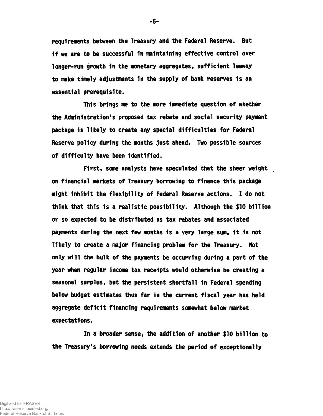requirements between the Treasury and the Federal Reserve. But If we are to be successful 1n maintaining effective control over longer-run growth in the monetary aggregates, sufficient leeway to make timely adjustments in the supply of bank reserves 1s an essential prerequisite.

This brings me to the more Immediate question of whether the Administration's proposed tax rebate and social security payment package 1s likely to create any special difficulties for Federal Reserve policy during the months just ahead. Two possible sources of difficulty have been Identified.

First, some analysts have speculated that the sheer weight on financial markets of Treasury borrowing to finance this package might Inhibit the flexibility of Federal Reserve actions. I do not think that this 1s a realistic possibility. Although the \$10 billion or so expected to be distributed as tax rebates and associated payments during the next few months 1s a very large sum, 1t 1s not likely to create a major financing problem for the Treasury. Not only will the bulk of the payments be occurring during a part of the year when regular Income tax receipts would otherwise be creating a seasonal surplus, but the persistent shortfall 1n Federal spending below budget estimates thus far 1n the current fiscal year has held aggregate deficit financing requirements somewhat below market expectations.

In a broader sense, the addition of another \$10 billion to the Treasury's borrowing needs extends the period of exceptionally

 $-5-$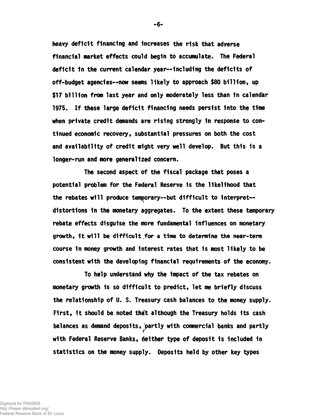heavy deficit financing and Increases the risk that adverse financial market effects could begin to accumulate. The Federal deficit in the current calendar year--including the deficits of off-budget agencies— now seems likely to approach \$80 billion, up \$17 billion from last year and only moderately less than in calendar 1975. If these large deficit financing needs persist Into the time when private credit demands are rising strongly In response to continued economic recovery, substantial pressures on both the cost and availability of credit might very well develop. But this 1s a longer-run and more generalized concern.

The second aspect of the fiscal package that poses a potential problem for the Federal Reserve 1s the likelihood that the rebates will produce temporary--but difficult to interpret-distortions in the monetary aggregates. To the extent these temporary rebate effects disguise the more fundamental Influences on monetary growth, it will be difficult for a time to determine the near-term course 1n money growth and Interest rates that is most likely to be consistent with the developing financial requirements of the economy.

To help understand why the Impact of the tax rebates on monetary growth Is so difficult to predict, let me briefly discuss the relationship of U. S. Treasury cash balances to the money supply. First, it should be noted that although the Treasury holds its cash balances as demand deposits,'partly with commercial banks and partly with Federal Reserve Banks, neither type of deposit is included in statistics on the money supply. Deposits held by other key types

- 6-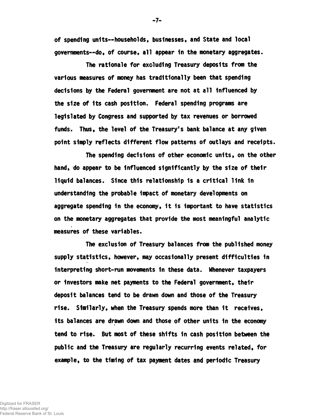of spending units— households, businesses, and State and local governments— do, of course, all appear 1n the monetary aggregates.

The rationale for excluding Treasury deposits from the various measures of money has traditionally been that spending decisions by the Federal government are not at all Influenced by the size of Its cash position. Federal spending programs are legislated by Congress and supported by tax revenues or borrowed funds. Thus, the level of the Treasury's bank balance at any given point simply reflects different flow patterns of outlays and receipts.

The spending decisions of other economic units, on the other hand, do appear to be influenced significantly by the size of their liquid balances. Since this relationship 1s a critical link 1n understanding the probable Impact of monetary developments on aggregate spending in the economy, it is important to have statistics on the monetary aggregates that provide the most meaningful analytic measures of these variables.

The exclusion of Treasury balances from the published money supply statistics, however, may occasionally present difficulties in Interpreting short-run movements In these data. Whenever taxpayers or Investors make net payments to the Federal government, their deposit balances tend to be drawn down and those of the Treasury rise. Similarly, when the Treasury spends more than 1t receives, its balances are drawn down and those of other units in the economy tend to rise. But most of these shifts 1n cash position between the public and the Treasury are regularly recurring events related, for example, to the timing of tax payment dates and periodic Treasury

-7-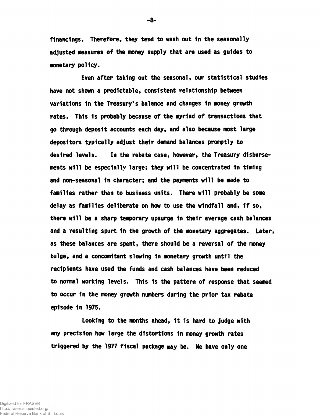financings. Therefore, they tend to wash out in the seasonally adjusted measures of the money supply that are used as guides to monetary policy.

Even after taking out the seasonal, our statistical studies have not shown a predictable, consistent relationship between variations 1n the Treasury's balance and changes 1n money growth rates. This is probably because of the myriad of transactions that go through deposit accounts each day, and also because most large depositors typically adjust their demand balances promptly to desired levels. In the rebate case, however, the Treasury disbursements will be especially large; they will be concentrated 1n timing and non-seasonal 1n character; and the payments will be made to families rather than to business units. There will probably be some delay as families deliberate on how to use the windfall and, If so, there will be a sharp temporary upsurge 1n their average cash balances and a resulting spurt in the growth of the monetary aggregates. Later, as these balances are spent, there should be a reversal of the money bulge, and a concomitant slowing 1n monetary growth until the recipients have used the funds and cash balances have been reduced to normal working levels. This 1s the pattern of response that seemed to occur in the money growth numbers during the prior tax rebate episode In 1975.

Looking to the months ahead, 1t 1s hard to judge with any precision how large the distortions in money growth rates triggered by the 1977 fiscal package may be. We have only one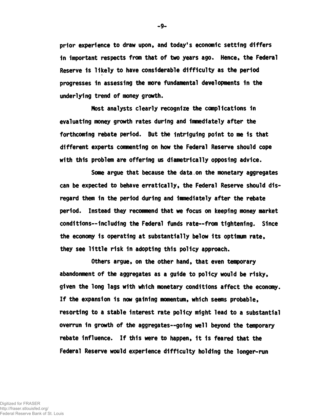prior experience to draw upon, and today's economic setting differs 1n Important respects from that of two years ago. Hence, the Federal Reserve 1s likely to have considerable difficulty as the period progresses 1n assessing the more fundamental developments 1n the underlying trend of money growth.

Most analysts clearly recognize the complications in evaluating money growth rates during and Immediately after the forthcoming rebate period. But the Intriguing point to me 1s that different experts commenting on how the Federal Reserve should cope with this problem are offering us diametrically opposing advice.

Some argue that because the data.on the monetary aggregates can be expected to behave erratically, the Federal Reserve should disregard them 1n the period during and Immediately after the rebate period. Instead they recommend that we focus on keeping money market conditions— Including the Federal funds rate— from tightening. Since the economy 1s operating at substantially below Its optimum rate, they see little risk In adopting this policy approach.

Others argue, on the other hand, that even temporary abandonment of the aggregates as a guide to policy would be risky, given the long lags with which monetary conditions affect the economy. If the expansion 1s now gaining momentum, which seems probable, resorting to a stable interest rate policy might lead to a substantial overrun in growth of the aggregates--going well beyond the temporary rebate influence. If this were to happen, it is feared that the Federal Reserve would experience difficulty holding the longer-run

-9-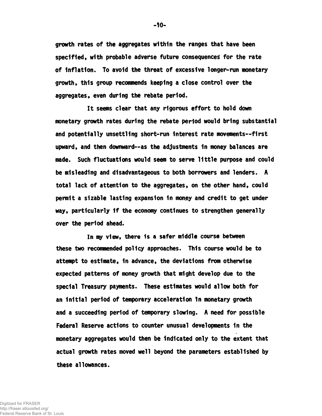growth rates of the aggregates within the ranges that have been specified, with probable adverse future consequences for the rate of Inflation. To avoid the threat of excessive longer-run monetary growth, this group recommends keeping a close control over the aggregates, even during the rebate period.

It seems clear that any rigorous effort to hold down monetary growth rates during the rebate period would bring substantial and potentially unsettling short-run Interest rate movements— first upward, and then downward— as the adjustments in money balances are made. Such fluctuations would seem to serve little purpose and could be misleading and disadvantageous to both borrowers and lenders. A total lack of attention to the aggregates, on the other hand, could permit a sizable lasting expansion In money and credit to get under way, particularly 1f the economy continues to strengthen generally over the period ahead.

In my view, there 1s a safer middle course between these two recommended policy approaches. This course would be to attempt to estimate, In advance, the deviations from otherwise expected patterns of money growth that might develop due to the special Treasury payments. These estimates would allow both for an Initial period of temporary acceleration 1n monetary growth and a succeeding period of temporary slowing. A need for possible Federal Reserve actions to counter unusual developments 1n the monetary aggregates would then be Indicated only to the extent that actual growth rates moved well beyond the parameters established by these allowances.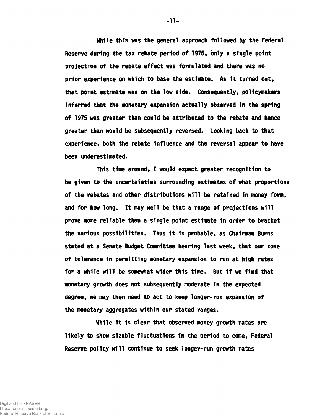While this was the general approach followed by the Federal Reserve during the tax rebate period of 1975, only a single point projection of the rebate effect was formulated and there was no prior experience on which to base the estimate. As 1t turned out, that point estimate was on the low side. Consequently, policymakers inferred that the monetary expansion actually observed in the spring of 1975 was greater than could be attributed to the rebate and hence greater than would be subsequently reversed. Looking back to that experience, both the rebate influence and the reversal appear to have been underestimated.

This time around, I would expect greater recognition to be given to the uncertainties surrounding estimates of what proportions of the rebates and other distributions will be retained 1n money form, and for how long. It may well be that a range of projections will prove more reliable than a single point estimate 1n order to bracket the various possibilities. Thus It 1s probable, as Chairman Bums stated at a Senate Budget Committee hearing last week, that our zone of tolerance 1n permitting monetary expansion to run at high rates for a while will be somewhat wider this time. But if we find that monetary growth does not subsequently moderate 1n the expected degree, we may then need to act to keep longer-run expansion of the monetary aggregates within our stated ranges.

While 1t is clear that observed money growth rates are likely to show sizable fluctuations in the period to come, Federal Reserve policy will continue to seek longer-run growth rates

-11-